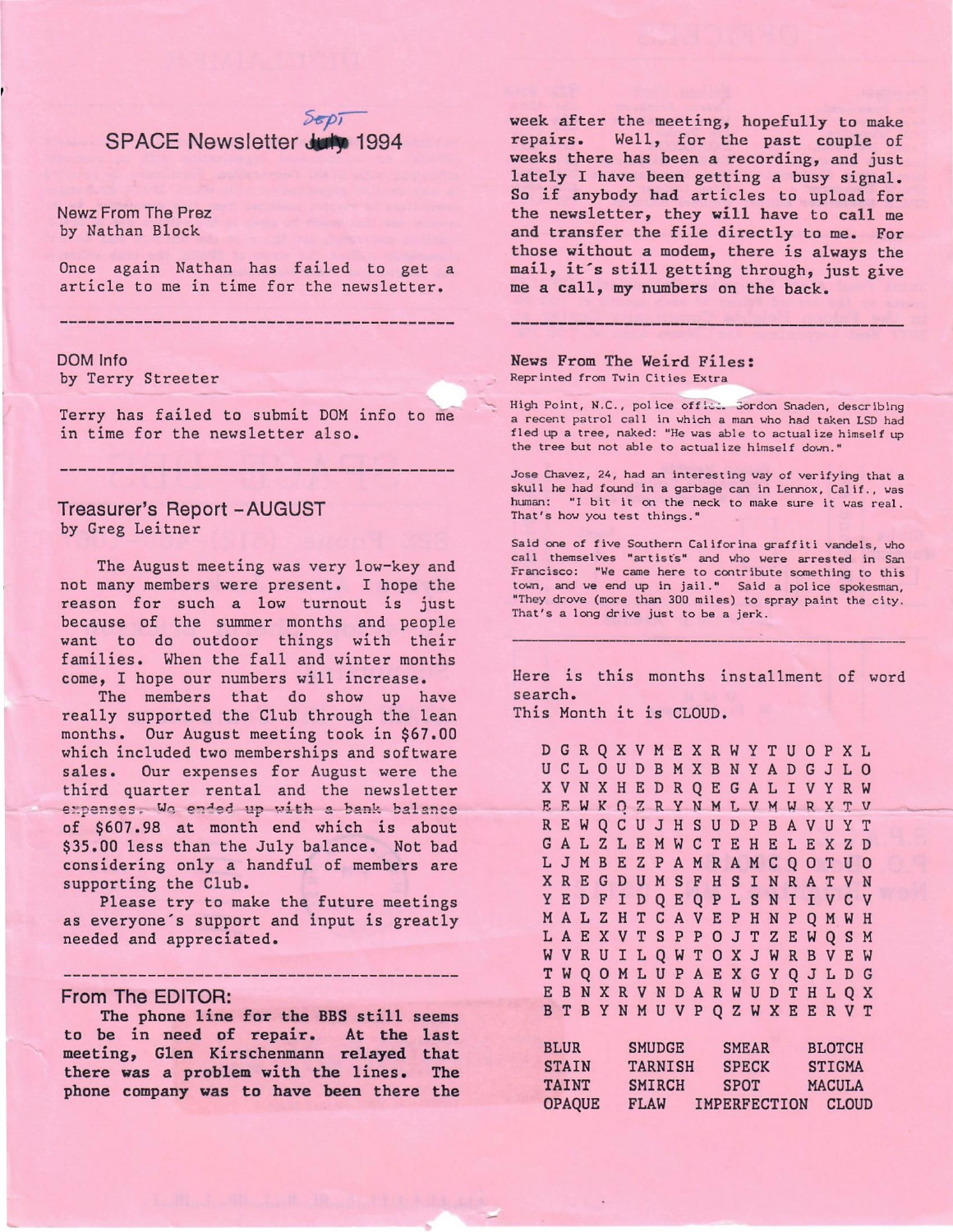$55p$ SPACE Newsletter July 1994

Newz From The Prez by Nathan Block

Once again Nathan has failed to get a article to me in time for the newsletter.

## DOM Info by Terry Streeter

Terry has failed to submit DOM info to me in time for the newsletter also.

### Treasurer's Report -AUGUST by Greg Leitner

The August meeting was very low-key and not many members were present. I hope the reason for such a low turnout is just because of the summer months and people want to do outdoor things with their families. When the fall and winter months come, I hope our numbers will increase.

The members that do show up have really supported the Club through the lean months. Our August meeting took in \$67.00 which included two memberships and software sales. Our expenses for August were the third quarter rental and the newsletter  $e$ *xpenses.* We ended up with a bank balance of \$607. 98 at month end which is about \$35.00 less than the July balance. Not bad considering only a handful of members are supporting the Club.

Please try to make the future meetings as everyone's support and input is greatly needed and appreciated.

From The EDITOR:

The phone line for the BBS still seems to be in need of repair. At the last meeting, Glen Kirschenmann relayed that there was a problem with the lines. The phone company was to have been there the week after the meeting, hopefully to make repairs. Well, for the past couple of weeks there has been a recording, and just lately I have been getting a busy signal. So if anybody had articles to upload for the newsletter, they **will** have to call me and transfer the file directly to me. For those without a modem, there is always the mail, it's still getting through, just give me a call, my numbers on the back.

#### News From The Weird Files: Reprinted from Twin Cities Extra

High Point, N.C., police office. Gordon Snaden, describing a recent patrol call in which a man who had taken LSD had fl ed up a tree, naked: "He was able to actual ize himself up the tree but not able to actualize himself down."

Jose Chavez, 24, had an interesting way of verifying that a skull he had found in a garbage can in Lennox, Calif., was human: "I bit it on the neck to make sure it was real. That's how you test things."

Said one of five Southern Califorina graffiti vandels, who call themselves "artists" and who were arrested in San Francisco: "We came here to contribute something to this town, and we end up in jail." Said a police spokesman, "They drove (more than 300 miles) to spray paint the city. That's a long drive just to be a jerk.

Here is this months installment of word search.

This Month it is CLOUD.

OPAQUE

D G R Q X V M E X R W Y T U O P X L U C L O U D B M X B N Y A D G J L 0 X V N X H E D R Q E G A L I V Y R W E E W K Q Z R Y N M L V M W R X T V R E W Q C U J H S U D P B A V U Y T G A L Z L E M W C T E H E L E X Z D L J M B E Z P A M R A M C Q O T U 0 X R E G D U M S F H S I N R A T V N Y E D F I D Q E Q P L S N I I V C V M A L Z H T C A V E P H N P Q M W H L A E X V T S P P O J T Z E W Q S M W V R U I L Q W T O X J W R B V E W T W Q O M L U P A E X G Y Q J L D G E B N X R V N D A R W U D T H L Q X B T B Y N M U V P Q Z W X E E R V T BLUR STAIN TAINT SMUDGE TARNISH SMIRCH SMEAR BLOTCH SPECK STIGMA SPOT MACULA

FLAW IMPERFECTION CLOUD